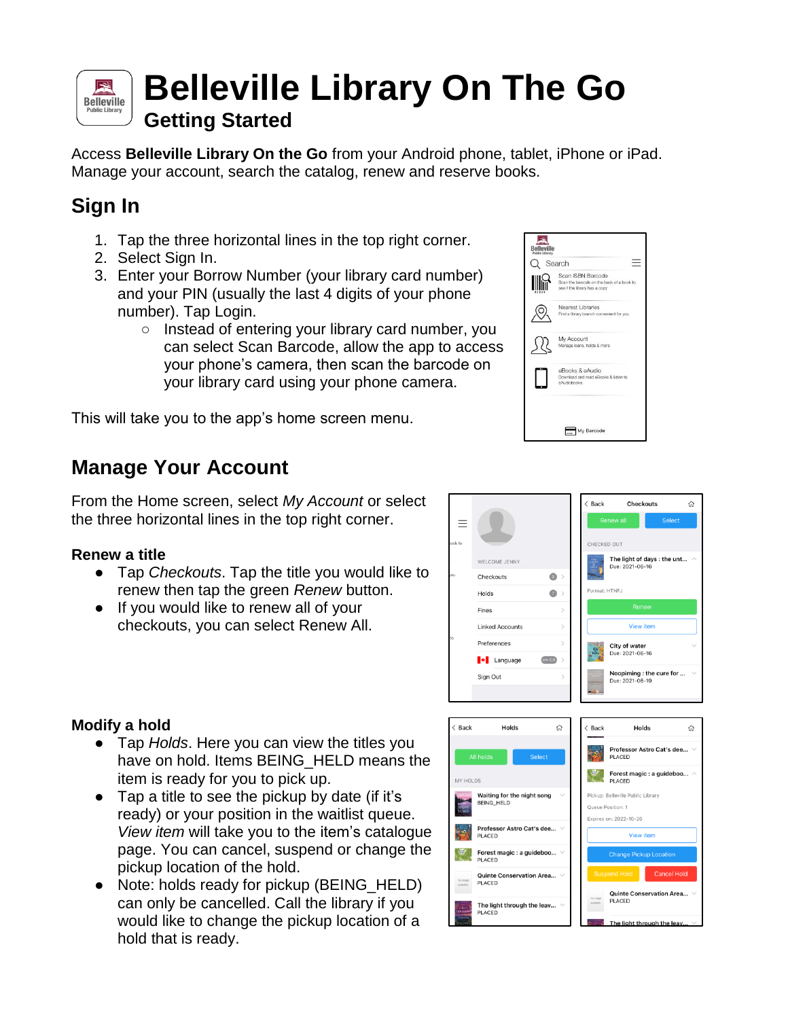# **Belleville Library On The Go Belleville**

**Getting Started** 

Access **Belleville Library On the Go** from your Android phone, tablet, iPhone or iPad. Manage your account, search the catalog, renew and reserve books.

## **Sign In**

図

- 1. Tap the three horizontal lines in the top right corner.
- 2. Select Sign In.
- 3. Enter your Borrow Number (your library card number) and your PIN (usually the last 4 digits of your phone number). Tap Login.
	- Instead of entering your library card number, you can select Scan Barcode, allow the app to access your phone's camera, then scan the barcode on your library card using your phone camera.

This will take you to the app's home screen menu.

## **Manage Your Account**

From the Home screen, select *My Account* or select the three horizontal lines in the top right corner.

### **Renew a title**

**Modify a hold**

- Tap *Checkouts*. Tap the title you would like to renew then tap the green *Renew* button.
- If you would like to renew all of your checkouts, you can select Renew All.



Back

Checkouts

Quinte Conservation Area

PLACED

 $\hat{u}$ 



The light through the leav...

**PLACED** 

#### $\bullet$  Tap a title to see the pickup by date (if it's ready) or your position in the waitlist queue. *View item* will take you to the item's catalogue page. You can cancel, suspend or change the

item is ready for you to pick up.

● Tap *Holds*. Here you can view the titles you

have on hold. Items BEING\_HELD means the

pickup location of the hold. • Note: holds ready for pickup (BEING HELD) can only be cancelled. Call the library if you would like to change the pickup location of a hold that is ready.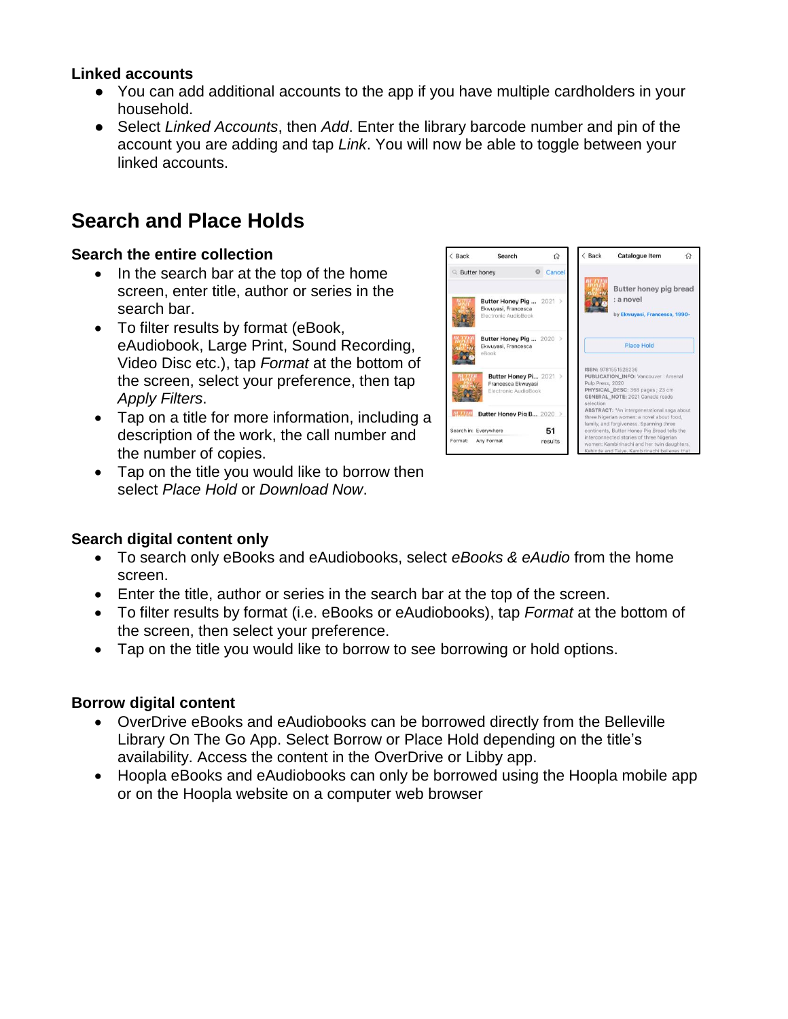### **Linked accounts**

- You can add additional accounts to the app if you have multiple cardholders in your household.
- Select *Linked Accounts*, then *Add*. Enter the library barcode number and pin of the account you are adding and tap *Link*. You will now be able to toggle between your linked accounts.

### **Search and Place Holds**

#### **Search the entire collection**

- In the search bar at the top of the home screen, enter title, author or series in the search bar.
- To filter results by format (eBook, eAudiobook, Large Print, Sound Recording, Video Disc etc.), tap *Format* at the bottom of the screen, select your preference, then tap *Apply Filters*.
- Tap on a title for more information, including a description of the work, the call number and the number of copies.
- Tap on the title you would like to borrow then select *Place Hold* or *Download Now*.



#### **Search digital content only**

- To search only eBooks and eAudiobooks, select *eBooks & eAudio* from the home screen.
- Enter the title, author or series in the search bar at the top of the screen.
- To filter results by format (i.e. eBooks or eAudiobooks), tap *Format* at the bottom of the screen, then select your preference.
- Tap on the title you would like to borrow to see borrowing or hold options.

### **Borrow digital content**

- OverDrive eBooks and eAudiobooks can be borrowed directly from the Belleville Library On The Go App. Select Borrow or Place Hold depending on the title's availability. Access the content in the OverDrive or Libby app.
- Hoopla eBooks and eAudiobooks can only be borrowed using the Hoopla mobile app or on the Hoopla website on a computer web browser